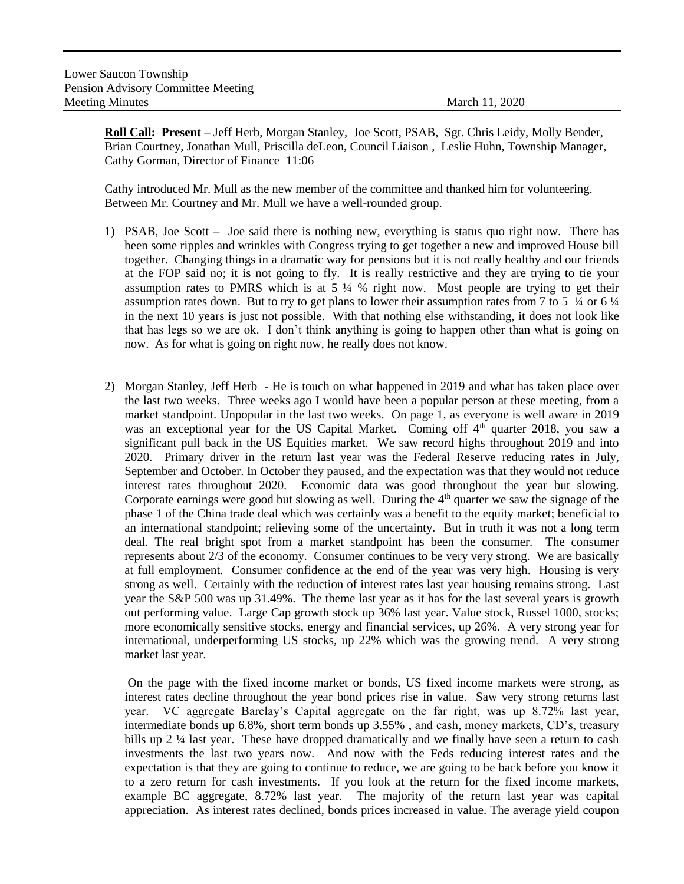**Roll Call: Present** – Jeff Herb, Morgan Stanley, Joe Scott, PSAB, Sgt. Chris Leidy, Molly Bender, Brian Courtney, Jonathan Mull, Priscilla deLeon, Council Liaison , Leslie Huhn, Township Manager, Cathy Gorman, Director of Finance 11:06

Cathy introduced Mr. Mull as the new member of the committee and thanked him for volunteering. Between Mr. Courtney and Mr. Mull we have a well-rounded group.

- 1) PSAB, Joe Scott Joe said there is nothing new, everything is status quo right now. There has been some ripples and wrinkles with Congress trying to get together a new and improved House bill together. Changing things in a dramatic way for pensions but it is not really healthy and our friends at the FOP said no; it is not going to fly. It is really restrictive and they are trying to tie your assumption rates to PMRS which is at 5 ¼ % right now. Most people are trying to get their assumption rates down. But to try to get plans to lower their assumption rates from 7 to 5  $\frac{1}{4}$  or 6  $\frac{1}{4}$ in the next 10 years is just not possible. With that nothing else withstanding, it does not look like that has legs so we are ok. I don't think anything is going to happen other than what is going on now. As for what is going on right now, he really does not know.
- 2) Morgan Stanley, Jeff Herb He is touch on what happened in 2019 and what has taken place over the last two weeks. Three weeks ago I would have been a popular person at these meeting, from a market standpoint. Unpopular in the last two weeks. On page 1, as everyone is well aware in 2019 was an exceptional year for the US Capital Market. Coming off 4<sup>th</sup> quarter 2018, you saw a significant pull back in the US Equities market. We saw record highs throughout 2019 and into 2020. Primary driver in the return last year was the Federal Reserve reducing rates in July, September and October. In October they paused, and the expectation was that they would not reduce interest rates throughout 2020. Economic data was good throughout the year but slowing. Corporate earnings were good but slowing as well. During the  $4<sup>th</sup>$  quarter we saw the signage of the phase 1 of the China trade deal which was certainly was a benefit to the equity market; beneficial to an international standpoint; relieving some of the uncertainty. But in truth it was not a long term deal. The real bright spot from a market standpoint has been the consumer. The consumer represents about 2/3 of the economy. Consumer continues to be very very strong. We are basically at full employment. Consumer confidence at the end of the year was very high. Housing is very strong as well. Certainly with the reduction of interest rates last year housing remains strong. Last year the S&P 500 was up 31.49%. The theme last year as it has for the last several years is growth out performing value. Large Cap growth stock up 36% last year. Value stock, Russel 1000, stocks; more economically sensitive stocks, energy and financial services, up 26%. A very strong year for international, underperforming US stocks, up 22% which was the growing trend. A very strong market last year.

On the page with the fixed income market or bonds, US fixed income markets were strong, as interest rates decline throughout the year bond prices rise in value. Saw very strong returns last year. VC aggregate Barclay's Capital aggregate on the far right, was up 8.72% last year, intermediate bonds up 6.8%, short term bonds up 3.55% , and cash, money markets, CD's, treasury bills up 2 ¼ last year. These have dropped dramatically and we finally have seen a return to cash investments the last two years now. And now with the Feds reducing interest rates and the expectation is that they are going to continue to reduce, we are going to be back before you know it to a zero return for cash investments. If you look at the return for the fixed income markets, example BC aggregate, 8.72% last year. The majority of the return last year was capital appreciation. As interest rates declined, bonds prices increased in value. The average yield coupon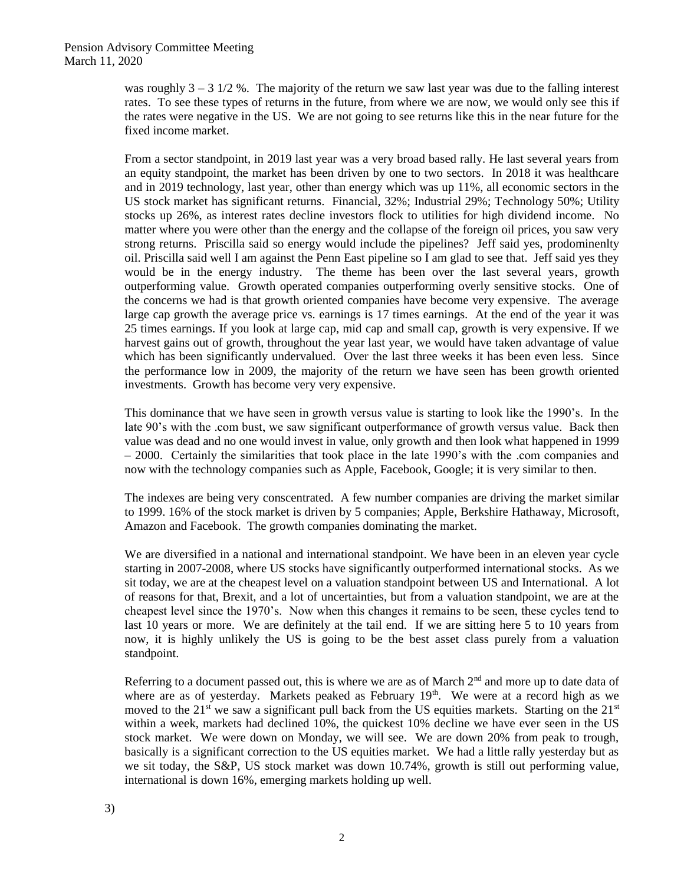was roughly  $3 - 3 \frac{1}{2}$ %. The majority of the return we saw last year was due to the falling interest rates. To see these types of returns in the future, from where we are now, we would only see this if the rates were negative in the US. We are not going to see returns like this in the near future for the fixed income market.

From a sector standpoint, in 2019 last year was a very broad based rally. He last several years from an equity standpoint, the market has been driven by one to two sectors. In 2018 it was healthcare and in 2019 technology, last year, other than energy which was up 11%, all economic sectors in the US stock market has significant returns. Financial, 32%; Industrial 29%; Technology 50%; Utility stocks up 26%, as interest rates decline investors flock to utilities for high dividend income. No matter where you were other than the energy and the collapse of the foreign oil prices, you saw very strong returns. Priscilla said so energy would include the pipelines? Jeff said yes, prodominenlty oil. Priscilla said well I am against the Penn East pipeline so I am glad to see that. Jeff said yes they would be in the energy industry. The theme has been over the last several years, growth outperforming value. Growth operated companies outperforming overly sensitive stocks. One of the concerns we had is that growth oriented companies have become very expensive. The average large cap growth the average price vs. earnings is 17 times earnings. At the end of the year it was 25 times earnings. If you look at large cap, mid cap and small cap, growth is very expensive. If we harvest gains out of growth, throughout the year last year, we would have taken advantage of value which has been significantly undervalued. Over the last three weeks it has been even less. Since the performance low in 2009, the majority of the return we have seen has been growth oriented investments. Growth has become very very expensive.

This dominance that we have seen in growth versus value is starting to look like the 1990's. In the late 90's with the .com bust, we saw significant outperformance of growth versus value. Back then value was dead and no one would invest in value, only growth and then look what happened in 1999 – 2000. Certainly the similarities that took place in the late 1990's with the .com companies and now with the technology companies such as Apple, Facebook, Google; it is very similar to then.

The indexes are being very conscentrated. A few number companies are driving the market similar to 1999. 16% of the stock market is driven by 5 companies; Apple, Berkshire Hathaway, Microsoft, Amazon and Facebook. The growth companies dominating the market.

We are diversified in a national and international standpoint. We have been in an eleven year cycle starting in 2007-2008, where US stocks have significantly outperformed international stocks. As we sit today, we are at the cheapest level on a valuation standpoint between US and International. A lot of reasons for that, Brexit, and a lot of uncertainties, but from a valuation standpoint, we are at the cheapest level since the 1970's. Now when this changes it remains to be seen, these cycles tend to last 10 years or more. We are definitely at the tail end. If we are sitting here 5 to 10 years from now, it is highly unlikely the US is going to be the best asset class purely from a valuation standpoint.

Referring to a document passed out, this is where we are as of March 2<sup>nd</sup> and more up to date data of where are as of yesterday. Markets peaked as February 19<sup>th</sup>. We were at a record high as we moved to the 21<sup>st</sup> we saw a significant pull back from the US equities markets. Starting on the  $21^{st}$ within a week, markets had declined 10%, the quickest 10% decline we have ever seen in the US stock market. We were down on Monday, we will see. We are down 20% from peak to trough, basically is a significant correction to the US equities market. We had a little rally yesterday but as we sit today, the S&P, US stock market was down 10.74%, growth is still out performing value, international is down 16%, emerging markets holding up well.